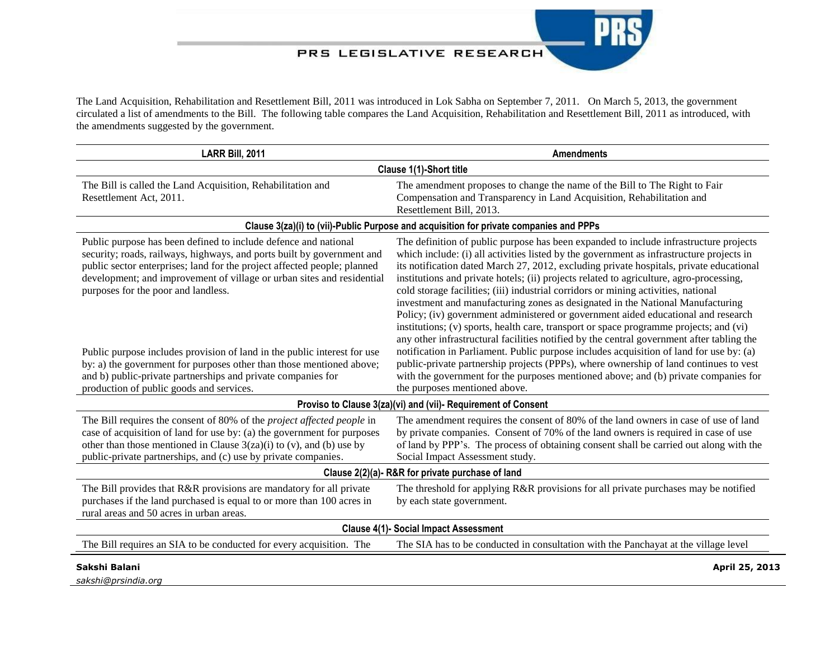## PRS LEGISLATIVE RESEARCH

The Land Acquisition, Rehabilitation and Resettlement Bill, 2011 was introduced in Lok Sabha on September 7, 2011. On March 5, 2013, the government circulated a list of amendments to the Bill. The following table compares the Land Acquisition, Rehabilitation and Resettlement Bill, 2011 as introduced, with the amendments suggested by the government.

| LARR Bill, 2011                                                                                                                                                                                                                                                                                                                                                                                                                                                                                                                                                                                        | <b>Amendments</b>                                                                                                                                                                                                                                                                                                                                                                                                                                                                                                                                                                                                                                                                                                                                                                                                                                                                                                                                                                                                                                                                                                                       |  |
|--------------------------------------------------------------------------------------------------------------------------------------------------------------------------------------------------------------------------------------------------------------------------------------------------------------------------------------------------------------------------------------------------------------------------------------------------------------------------------------------------------------------------------------------------------------------------------------------------------|-----------------------------------------------------------------------------------------------------------------------------------------------------------------------------------------------------------------------------------------------------------------------------------------------------------------------------------------------------------------------------------------------------------------------------------------------------------------------------------------------------------------------------------------------------------------------------------------------------------------------------------------------------------------------------------------------------------------------------------------------------------------------------------------------------------------------------------------------------------------------------------------------------------------------------------------------------------------------------------------------------------------------------------------------------------------------------------------------------------------------------------------|--|
| Clause 1(1)-Short title                                                                                                                                                                                                                                                                                                                                                                                                                                                                                                                                                                                |                                                                                                                                                                                                                                                                                                                                                                                                                                                                                                                                                                                                                                                                                                                                                                                                                                                                                                                                                                                                                                                                                                                                         |  |
| The Bill is called the Land Acquisition, Rehabilitation and<br>Resettlement Act, 2011.                                                                                                                                                                                                                                                                                                                                                                                                                                                                                                                 | The amendment proposes to change the name of the Bill to The Right to Fair<br>Compensation and Transparency in Land Acquisition, Rehabilitation and<br>Resettlement Bill, 2013.                                                                                                                                                                                                                                                                                                                                                                                                                                                                                                                                                                                                                                                                                                                                                                                                                                                                                                                                                         |  |
| Clause 3(za)(i) to (vii)-Public Purpose and acquisition for private companies and PPPs                                                                                                                                                                                                                                                                                                                                                                                                                                                                                                                 |                                                                                                                                                                                                                                                                                                                                                                                                                                                                                                                                                                                                                                                                                                                                                                                                                                                                                                                                                                                                                                                                                                                                         |  |
| Public purpose has been defined to include defence and national<br>security; roads, railways, highways, and ports built by government and<br>public sector enterprises; land for the project affected people; planned<br>development; and improvement of village or urban sites and residential<br>purposes for the poor and landless.<br>Public purpose includes provision of land in the public interest for use<br>by: a) the government for purposes other than those mentioned above;<br>and b) public-private partnerships and private companies for<br>production of public goods and services. | The definition of public purpose has been expanded to include infrastructure projects<br>which include: (i) all activities listed by the government as infrastructure projects in<br>its notification dated March 27, 2012, excluding private hospitals, private educational<br>institutions and private hotels; (ii) projects related to agriculture, agro-processing,<br>cold storage facilities; (iii) industrial corridors or mining activities, national<br>investment and manufacturing zones as designated in the National Manufacturing<br>Policy; (iv) government administered or government aided educational and research<br>institutions; (v) sports, health care, transport or space programme projects; and (vi)<br>any other infrastructural facilities notified by the central government after tabling the<br>notification in Parliament. Public purpose includes acquisition of land for use by: (a)<br>public-private partnership projects (PPPs), where ownership of land continues to vest<br>with the government for the purposes mentioned above; and (b) private companies for<br>the purposes mentioned above. |  |
| Proviso to Clause 3(za)(vi) and (vii)- Requirement of Consent                                                                                                                                                                                                                                                                                                                                                                                                                                                                                                                                          |                                                                                                                                                                                                                                                                                                                                                                                                                                                                                                                                                                                                                                                                                                                                                                                                                                                                                                                                                                                                                                                                                                                                         |  |
| The Bill requires the consent of 80% of the project affected people in<br>case of acquisition of land for use by: (a) the government for purposes<br>other than those mentioned in Clause $3(za)(i)$ to (v), and (b) use by<br>public-private partnerships, and (c) use by private companies.                                                                                                                                                                                                                                                                                                          | The amendment requires the consent of 80% of the land owners in case of use of land<br>by private companies. Consent of 70% of the land owners is required in case of use<br>of land by PPP's. The process of obtaining consent shall be carried out along with the<br>Social Impact Assessment study.                                                                                                                                                                                                                                                                                                                                                                                                                                                                                                                                                                                                                                                                                                                                                                                                                                  |  |
| Clause 2(2)(a)- R&R for private purchase of land                                                                                                                                                                                                                                                                                                                                                                                                                                                                                                                                                       |                                                                                                                                                                                                                                                                                                                                                                                                                                                                                                                                                                                                                                                                                                                                                                                                                                                                                                                                                                                                                                                                                                                                         |  |
| The Bill provides that R&R provisions are mandatory for all private<br>purchases if the land purchased is equal to or more than 100 acres in<br>rural areas and 50 acres in urban areas.                                                                                                                                                                                                                                                                                                                                                                                                               | The threshold for applying R&R provisions for all private purchases may be notified<br>by each state government.                                                                                                                                                                                                                                                                                                                                                                                                                                                                                                                                                                                                                                                                                                                                                                                                                                                                                                                                                                                                                        |  |
| <b>Clause 4(1)- Social Impact Assessment</b>                                                                                                                                                                                                                                                                                                                                                                                                                                                                                                                                                           |                                                                                                                                                                                                                                                                                                                                                                                                                                                                                                                                                                                                                                                                                                                                                                                                                                                                                                                                                                                                                                                                                                                                         |  |
| The Bill requires an SIA to be conducted for every acquisition. The                                                                                                                                                                                                                                                                                                                                                                                                                                                                                                                                    | The SIA has to be conducted in consultation with the Panchayat at the village level                                                                                                                                                                                                                                                                                                                                                                                                                                                                                                                                                                                                                                                                                                                                                                                                                                                                                                                                                                                                                                                     |  |
| Sakshi Balani<br>sakshi@prsindia.org                                                                                                                                                                                                                                                                                                                                                                                                                                                                                                                                                                   | April 25, 2013                                                                                                                                                                                                                                                                                                                                                                                                                                                                                                                                                                                                                                                                                                                                                                                                                                                                                                                                                                                                                                                                                                                          |  |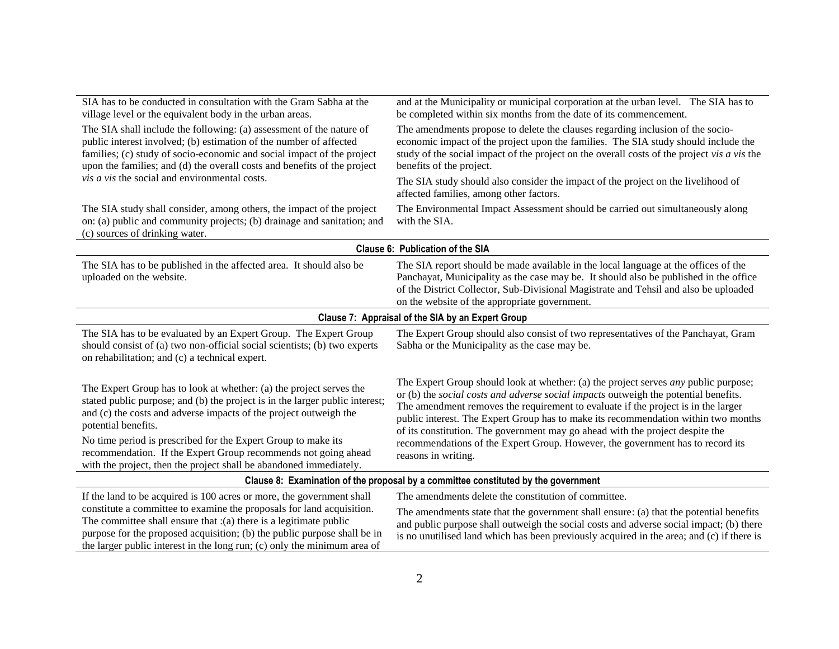| SIA has to be conducted in consultation with the Gram Sabha at the<br>village level or the equivalent body in the urban areas.                                                                                                                                                                                                                                                                                                                           | and at the Municipality or municipal corporation at the urban level. The SIA has to<br>be completed within six months from the date of its commencement.                                                                                                                                                                                                                                                                                                                                                                                               |  |
|----------------------------------------------------------------------------------------------------------------------------------------------------------------------------------------------------------------------------------------------------------------------------------------------------------------------------------------------------------------------------------------------------------------------------------------------------------|--------------------------------------------------------------------------------------------------------------------------------------------------------------------------------------------------------------------------------------------------------------------------------------------------------------------------------------------------------------------------------------------------------------------------------------------------------------------------------------------------------------------------------------------------------|--|
| The SIA shall include the following: (a) assessment of the nature of<br>public interest involved; (b) estimation of the number of affected<br>families; (c) study of socio-economic and social impact of the project<br>upon the families; and (d) the overall costs and benefits of the project                                                                                                                                                         | The amendments propose to delete the clauses regarding inclusion of the socio-<br>economic impact of the project upon the families. The SIA study should include the<br>study of the social impact of the project on the overall costs of the project vis a vis the<br>benefits of the project.                                                                                                                                                                                                                                                        |  |
| vis a vis the social and environmental costs.                                                                                                                                                                                                                                                                                                                                                                                                            | The SIA study should also consider the impact of the project on the livelihood of<br>affected families, among other factors.                                                                                                                                                                                                                                                                                                                                                                                                                           |  |
| The SIA study shall consider, among others, the impact of the project<br>on: (a) public and community projects; (b) drainage and sanitation; and<br>(c) sources of drinking water.                                                                                                                                                                                                                                                                       | The Environmental Impact Assessment should be carried out simultaneously along<br>with the SIA.                                                                                                                                                                                                                                                                                                                                                                                                                                                        |  |
|                                                                                                                                                                                                                                                                                                                                                                                                                                                          | Clause 6: Publication of the SIA                                                                                                                                                                                                                                                                                                                                                                                                                                                                                                                       |  |
| The SIA has to be published in the affected area. It should also be<br>uploaded on the website.                                                                                                                                                                                                                                                                                                                                                          | The SIA report should be made available in the local language at the offices of the<br>Panchayat, Municipality as the case may be. It should also be published in the office<br>of the District Collector, Sub-Divisional Magistrate and Tehsil and also be uploaded<br>on the website of the appropriate government.                                                                                                                                                                                                                                  |  |
| Clause 7: Appraisal of the SIA by an Expert Group                                                                                                                                                                                                                                                                                                                                                                                                        |                                                                                                                                                                                                                                                                                                                                                                                                                                                                                                                                                        |  |
| The SIA has to be evaluated by an Expert Group. The Expert Group<br>should consist of (a) two non-official social scientists; (b) two experts<br>on rehabilitation; and (c) a technical expert.                                                                                                                                                                                                                                                          | The Expert Group should also consist of two representatives of the Panchayat, Gram<br>Sabha or the Municipality as the case may be.                                                                                                                                                                                                                                                                                                                                                                                                                    |  |
| The Expert Group has to look at whether: (a) the project serves the<br>stated public purpose; and (b) the project is in the larger public interest;<br>and (c) the costs and adverse impacts of the project outweigh the<br>potential benefits.<br>No time period is prescribed for the Expert Group to make its<br>recommendation. If the Expert Group recommends not going ahead<br>with the project, then the project shall be abandoned immediately. | The Expert Group should look at whether: (a) the project serves <i>any</i> public purpose;<br>or (b) the social costs and adverse social impacts outweigh the potential benefits.<br>The amendment removes the requirement to evaluate if the project is in the larger<br>public interest. The Expert Group has to make its recommendation within two months<br>of its constitution. The government may go ahead with the project despite the<br>recommendations of the Expert Group. However, the government has to record its<br>reasons in writing. |  |
| Clause 8: Examination of the proposal by a committee constituted by the government                                                                                                                                                                                                                                                                                                                                                                       |                                                                                                                                                                                                                                                                                                                                                                                                                                                                                                                                                        |  |
| If the land to be acquired is 100 acres or more, the government shall<br>constitute a committee to examine the proposals for land acquisition.<br>The committee shall ensure that $:(a)$ there is a legitimate public<br>purpose for the proposed acquisition; (b) the public purpose shall be in<br>the larger public interest in the long run; (c) only the minimum area of                                                                            | The amendments delete the constitution of committee.<br>The amendments state that the government shall ensure: (a) that the potential benefits<br>and public purpose shall outweigh the social costs and adverse social impact; (b) there<br>is no unutilised land which has been previously acquired in the area; and (c) if there is                                                                                                                                                                                                                 |  |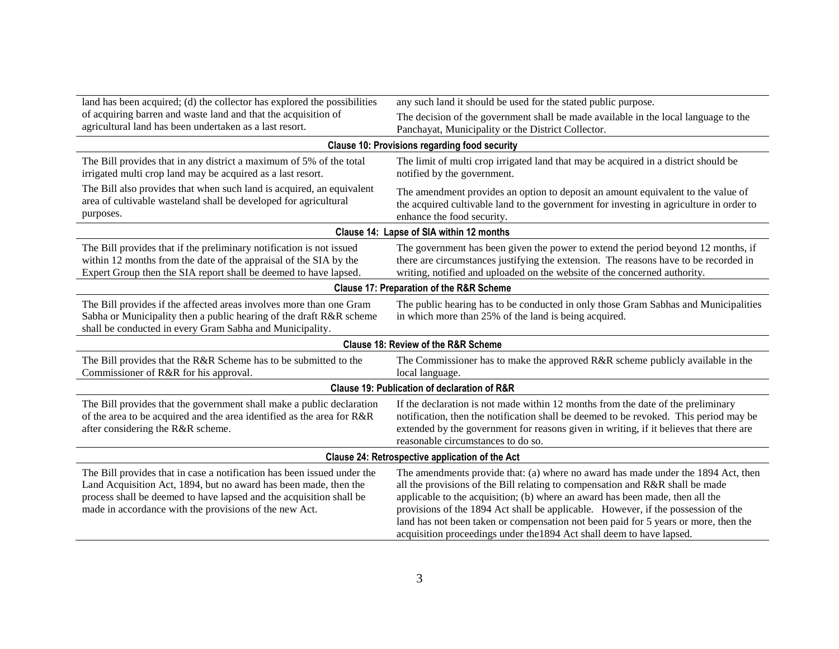| land has been acquired; (d) the collector has explored the possibilities                                                                                                                                                                                                     | any such land it should be used for the stated public purpose.                                                                                                                                                                                                                                                                                                                                                                                                                                           |  |
|------------------------------------------------------------------------------------------------------------------------------------------------------------------------------------------------------------------------------------------------------------------------------|----------------------------------------------------------------------------------------------------------------------------------------------------------------------------------------------------------------------------------------------------------------------------------------------------------------------------------------------------------------------------------------------------------------------------------------------------------------------------------------------------------|--|
| of acquiring barren and waste land and that the acquisition of                                                                                                                                                                                                               | The decision of the government shall be made available in the local language to the                                                                                                                                                                                                                                                                                                                                                                                                                      |  |
| agricultural land has been undertaken as a last resort.                                                                                                                                                                                                                      | Panchayat, Municipality or the District Collector.                                                                                                                                                                                                                                                                                                                                                                                                                                                       |  |
|                                                                                                                                                                                                                                                                              | <b>Clause 10: Provisions regarding food security</b>                                                                                                                                                                                                                                                                                                                                                                                                                                                     |  |
| The Bill provides that in any district a maximum of 5% of the total<br>irrigated multi crop land may be acquired as a last resort.                                                                                                                                           | The limit of multi crop irrigated land that may be acquired in a district should be<br>notified by the government.                                                                                                                                                                                                                                                                                                                                                                                       |  |
| The Bill also provides that when such land is acquired, an equivalent<br>area of cultivable wasteland shall be developed for agricultural<br>purposes.                                                                                                                       | The amendment provides an option to deposit an amount equivalent to the value of<br>the acquired cultivable land to the government for investing in agriculture in order to<br>enhance the food security.                                                                                                                                                                                                                                                                                                |  |
|                                                                                                                                                                                                                                                                              | Clause 14: Lapse of SIA within 12 months                                                                                                                                                                                                                                                                                                                                                                                                                                                                 |  |
| The Bill provides that if the preliminary notification is not issued<br>within 12 months from the date of the appraisal of the SIA by the<br>Expert Group then the SIA report shall be deemed to have lapsed.                                                                | The government has been given the power to extend the period beyond 12 months, if<br>there are circumstances justifying the extension. The reasons have to be recorded in<br>writing, notified and uploaded on the website of the concerned authority.                                                                                                                                                                                                                                                   |  |
|                                                                                                                                                                                                                                                                              | <b>Clause 17: Preparation of the R&amp;R Scheme</b>                                                                                                                                                                                                                                                                                                                                                                                                                                                      |  |
| The Bill provides if the affected areas involves more than one Gram<br>Sabha or Municipality then a public hearing of the draft R&R scheme<br>shall be conducted in every Gram Sabha and Municipality.                                                                       | The public hearing has to be conducted in only those Gram Sabhas and Municipalities<br>in which more than 25% of the land is being acquired.                                                                                                                                                                                                                                                                                                                                                             |  |
| <b>Clause 18: Review of the R&amp;R Scheme</b>                                                                                                                                                                                                                               |                                                                                                                                                                                                                                                                                                                                                                                                                                                                                                          |  |
| The Bill provides that the R&R Scheme has to be submitted to the<br>Commissioner of R&R for his approval.                                                                                                                                                                    | The Commissioner has to make the approved R&R scheme publicly available in the<br>local language.                                                                                                                                                                                                                                                                                                                                                                                                        |  |
| <b>Clause 19: Publication of declaration of R&amp;R</b>                                                                                                                                                                                                                      |                                                                                                                                                                                                                                                                                                                                                                                                                                                                                                          |  |
| The Bill provides that the government shall make a public declaration<br>of the area to be acquired and the area identified as the area for R&R<br>after considering the R&R scheme.                                                                                         | If the declaration is not made within 12 months from the date of the preliminary<br>notification, then the notification shall be deemed to be revoked. This period may be<br>extended by the government for reasons given in writing, if it believes that there are<br>reasonable circumstances to do so.                                                                                                                                                                                                |  |
| Clause 24: Retrospective application of the Act                                                                                                                                                                                                                              |                                                                                                                                                                                                                                                                                                                                                                                                                                                                                                          |  |
| The Bill provides that in case a notification has been issued under the<br>Land Acquisition Act, 1894, but no award has been made, then the<br>process shall be deemed to have lapsed and the acquisition shall be<br>made in accordance with the provisions of the new Act. | The amendments provide that: (a) where no award has made under the 1894 Act, then<br>all the provisions of the Bill relating to compensation and R&R shall be made<br>applicable to the acquisition; (b) where an award has been made, then all the<br>provisions of the 1894 Act shall be applicable. However, if the possession of the<br>land has not been taken or compensation not been paid for 5 years or more, then the<br>acquisition proceedings under the 1894 Act shall deem to have lapsed. |  |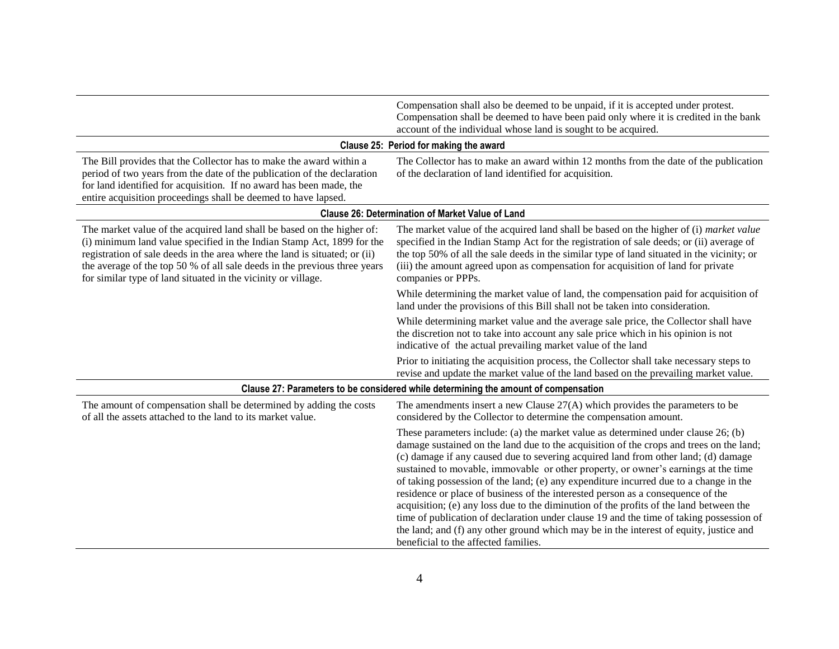|                                                                                                                                                                                                                                                                                                                                                                              | Compensation shall also be deemed to be unpaid, if it is accepted under protest.<br>Compensation shall be deemed to have been paid only where it is credited in the bank<br>account of the individual whose land is sought to be acquired.                                                                                                                                                                                                                                                                                                                                                                                                                                                                                                                                                                                                                  |
|------------------------------------------------------------------------------------------------------------------------------------------------------------------------------------------------------------------------------------------------------------------------------------------------------------------------------------------------------------------------------|-------------------------------------------------------------------------------------------------------------------------------------------------------------------------------------------------------------------------------------------------------------------------------------------------------------------------------------------------------------------------------------------------------------------------------------------------------------------------------------------------------------------------------------------------------------------------------------------------------------------------------------------------------------------------------------------------------------------------------------------------------------------------------------------------------------------------------------------------------------|
|                                                                                                                                                                                                                                                                                                                                                                              | Clause 25: Period for making the award                                                                                                                                                                                                                                                                                                                                                                                                                                                                                                                                                                                                                                                                                                                                                                                                                      |
| The Bill provides that the Collector has to make the award within a<br>period of two years from the date of the publication of the declaration<br>for land identified for acquisition. If no award has been made, the<br>entire acquisition proceedings shall be deemed to have lapsed.                                                                                      | The Collector has to make an award within 12 months from the date of the publication<br>of the declaration of land identified for acquisition.                                                                                                                                                                                                                                                                                                                                                                                                                                                                                                                                                                                                                                                                                                              |
|                                                                                                                                                                                                                                                                                                                                                                              | <b>Clause 26: Determination of Market Value of Land</b>                                                                                                                                                                                                                                                                                                                                                                                                                                                                                                                                                                                                                                                                                                                                                                                                     |
| The market value of the acquired land shall be based on the higher of:<br>(i) minimum land value specified in the Indian Stamp Act, 1899 for the<br>registration of sale deeds in the area where the land is situated; or (ii)<br>the average of the top 50 % of all sale deeds in the previous three years<br>for similar type of land situated in the vicinity or village. | The market value of the acquired land shall be based on the higher of (i) market value<br>specified in the Indian Stamp Act for the registration of sale deeds; or (ii) average of<br>the top 50% of all the sale deeds in the similar type of land situated in the vicinity; or<br>(iii) the amount agreed upon as compensation for acquisition of land for private<br>companies or PPPs.                                                                                                                                                                                                                                                                                                                                                                                                                                                                  |
|                                                                                                                                                                                                                                                                                                                                                                              | While determining the market value of land, the compensation paid for acquisition of<br>land under the provisions of this Bill shall not be taken into consideration.                                                                                                                                                                                                                                                                                                                                                                                                                                                                                                                                                                                                                                                                                       |
|                                                                                                                                                                                                                                                                                                                                                                              | While determining market value and the average sale price, the Collector shall have<br>the discretion not to take into account any sale price which in his opinion is not<br>indicative of the actual prevailing market value of the land                                                                                                                                                                                                                                                                                                                                                                                                                                                                                                                                                                                                                   |
|                                                                                                                                                                                                                                                                                                                                                                              | Prior to initiating the acquisition process, the Collector shall take necessary steps to<br>revise and update the market value of the land based on the prevailing market value.                                                                                                                                                                                                                                                                                                                                                                                                                                                                                                                                                                                                                                                                            |
|                                                                                                                                                                                                                                                                                                                                                                              | Clause 27: Parameters to be considered while determining the amount of compensation                                                                                                                                                                                                                                                                                                                                                                                                                                                                                                                                                                                                                                                                                                                                                                         |
| The amount of compensation shall be determined by adding the costs<br>of all the assets attached to the land to its market value.                                                                                                                                                                                                                                            | The amendments insert a new Clause $27(A)$ which provides the parameters to be<br>considered by the Collector to determine the compensation amount.                                                                                                                                                                                                                                                                                                                                                                                                                                                                                                                                                                                                                                                                                                         |
|                                                                                                                                                                                                                                                                                                                                                                              | These parameters include: (a) the market value as determined under clause 26; (b)<br>damage sustained on the land due to the acquisition of the crops and trees on the land;<br>(c) damage if any caused due to severing acquired land from other land; (d) damage<br>sustained to movable, immovable or other property, or owner's earnings at the time<br>of taking possession of the land; (e) any expenditure incurred due to a change in the<br>residence or place of business of the interested person as a consequence of the<br>acquisition; (e) any loss due to the diminution of the profits of the land between the<br>time of publication of declaration under clause 19 and the time of taking possession of<br>the land; and (f) any other ground which may be in the interest of equity, justice and<br>beneficial to the affected families. |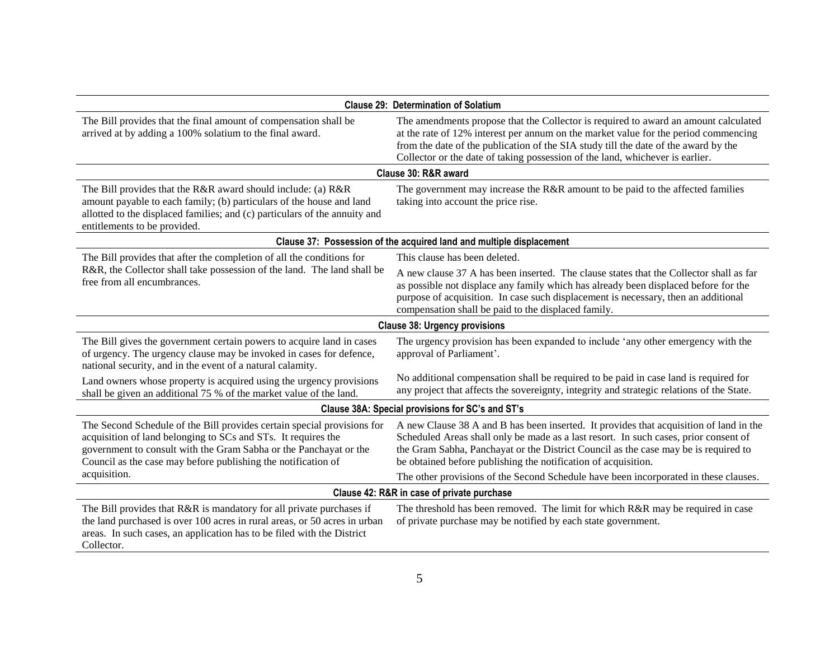| <b>Clause 29: Determination of Solatium</b>                                                                                                                                                                                                                                    |                                                                                                                                                                                                                                                                                                                                                    |  |
|--------------------------------------------------------------------------------------------------------------------------------------------------------------------------------------------------------------------------------------------------------------------------------|----------------------------------------------------------------------------------------------------------------------------------------------------------------------------------------------------------------------------------------------------------------------------------------------------------------------------------------------------|--|
| The Bill provides that the final amount of compensation shall be<br>arrived at by adding a 100% solatium to the final award.                                                                                                                                                   | The amendments propose that the Collector is required to award an amount calculated<br>at the rate of 12% interest per annum on the market value for the period commencing<br>from the date of the publication of the SIA study till the date of the award by the<br>Collector or the date of taking possession of the land, whichever is earlier. |  |
|                                                                                                                                                                                                                                                                                | Clause 30: R&R award                                                                                                                                                                                                                                                                                                                               |  |
| The Bill provides that the R&R award should include: (a) R&R<br>amount payable to each family; (b) particulars of the house and land<br>allotted to the displaced families; and (c) particulars of the annuity and<br>entitlements to be provided.                             | The government may increase the R&R amount to be paid to the affected families<br>taking into account the price rise.                                                                                                                                                                                                                              |  |
|                                                                                                                                                                                                                                                                                | Clause 37: Possession of the acquired land and multiple displacement                                                                                                                                                                                                                                                                               |  |
| The Bill provides that after the completion of all the conditions for<br>R&R, the Collector shall take possession of the land. The land shall be<br>free from all encumbrances.                                                                                                | This clause has been deleted.                                                                                                                                                                                                                                                                                                                      |  |
|                                                                                                                                                                                                                                                                                | A new clause 37 A has been inserted. The clause states that the Collector shall as far<br>as possible not displace any family which has already been displaced before for the<br>purpose of acquisition. In case such displacement is necessary, then an additional<br>compensation shall be paid to the displaced family.                         |  |
| <b>Clause 38: Urgency provisions</b>                                                                                                                                                                                                                                           |                                                                                                                                                                                                                                                                                                                                                    |  |
| The Bill gives the government certain powers to acquire land in cases<br>of urgency. The urgency clause may be invoked in cases for defence,<br>national security, and in the event of a natural calamity.                                                                     | The urgency provision has been expanded to include 'any other emergency with the<br>approval of Parliament'.                                                                                                                                                                                                                                       |  |
| Land owners whose property is acquired using the urgency provisions<br>shall be given an additional 75 % of the market value of the land.                                                                                                                                      | No additional compensation shall be required to be paid in case land is required for<br>any project that affects the sovereignty, integrity and strategic relations of the State.                                                                                                                                                                  |  |
| Clause 38A: Special provisions for SC's and ST's                                                                                                                                                                                                                               |                                                                                                                                                                                                                                                                                                                                                    |  |
| The Second Schedule of the Bill provides certain special provisions for<br>acquisition of land belonging to SCs and STs. It requires the<br>government to consult with the Gram Sabha or the Panchayat or the<br>Council as the case may before publishing the notification of | A new Clause 38 A and B has been inserted. It provides that acquisition of land in the<br>Scheduled Areas shall only be made as a last resort. In such cases, prior consent of<br>the Gram Sabha, Panchayat or the District Council as the case may be is required to<br>be obtained before publishing the notification of acquisition.            |  |
| acquisition.                                                                                                                                                                                                                                                                   | The other provisions of the Second Schedule have been incorporated in these clauses.                                                                                                                                                                                                                                                               |  |
| Clause 42: R&R in case of private purchase                                                                                                                                                                                                                                     |                                                                                                                                                                                                                                                                                                                                                    |  |
| The Bill provides that R&R is mandatory for all private purchases if<br>the land purchased is over 100 acres in rural areas, or 50 acres in urban<br>areas. In such cases, an application has to be filed with the District<br>Collector.                                      | The threshold has been removed. The limit for which R&R may be required in case<br>of private purchase may be notified by each state government.                                                                                                                                                                                                   |  |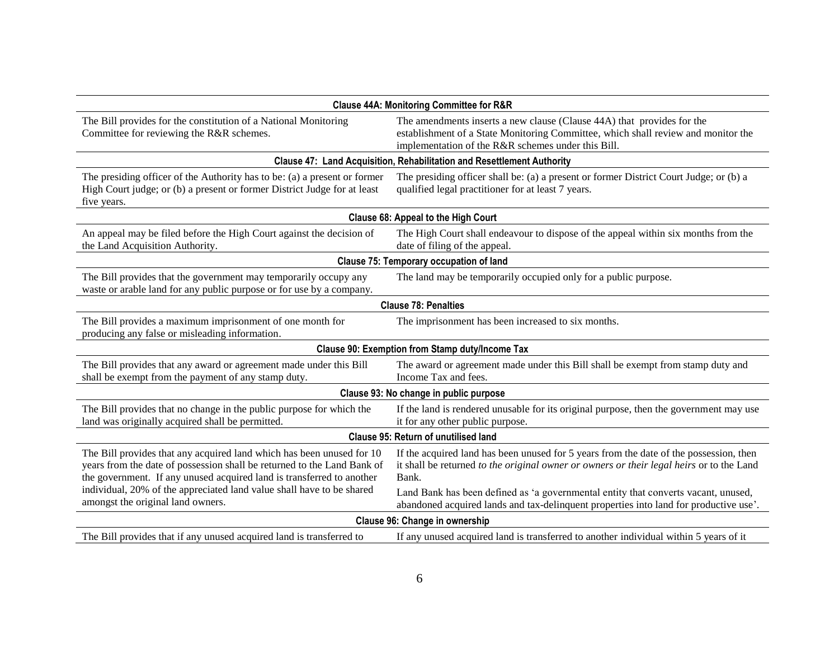| <b>Clause 44A: Monitoring Committee for R&amp;R</b>                                                                                                                                                                                                                                                |                                                                                                                                                                                                                                                                                   |  |
|----------------------------------------------------------------------------------------------------------------------------------------------------------------------------------------------------------------------------------------------------------------------------------------------------|-----------------------------------------------------------------------------------------------------------------------------------------------------------------------------------------------------------------------------------------------------------------------------------|--|
| The Bill provides for the constitution of a National Monitoring<br>Committee for reviewing the R&R schemes.                                                                                                                                                                                        | The amendments inserts a new clause (Clause 44A) that provides for the<br>establishment of a State Monitoring Committee, which shall review and monitor the<br>implementation of the R&R schemes under this Bill.                                                                 |  |
|                                                                                                                                                                                                                                                                                                    | Clause 47: Land Acquisition, Rehabilitation and Resettlement Authority                                                                                                                                                                                                            |  |
| The presiding officer of the Authority has to be: (a) a present or former<br>High Court judge; or (b) a present or former District Judge for at least<br>five years.                                                                                                                               | The presiding officer shall be: (a) a present or former District Court Judge; or (b) a<br>qualified legal practitioner for at least 7 years.                                                                                                                                      |  |
|                                                                                                                                                                                                                                                                                                    | Clause 68: Appeal to the High Court                                                                                                                                                                                                                                               |  |
| An appeal may be filed before the High Court against the decision of<br>the Land Acquisition Authority.                                                                                                                                                                                            | The High Court shall endeavour to dispose of the appeal within six months from the<br>date of filing of the appeal.                                                                                                                                                               |  |
| Clause 75: Temporary occupation of land                                                                                                                                                                                                                                                            |                                                                                                                                                                                                                                                                                   |  |
| The Bill provides that the government may temporarily occupy any<br>waste or arable land for any public purpose or for use by a company.                                                                                                                                                           | The land may be temporarily occupied only for a public purpose.                                                                                                                                                                                                                   |  |
|                                                                                                                                                                                                                                                                                                    | <b>Clause 78: Penalties</b>                                                                                                                                                                                                                                                       |  |
| The Bill provides a maximum imprisonment of one month for<br>producing any false or misleading information.                                                                                                                                                                                        | The imprisonment has been increased to six months.                                                                                                                                                                                                                                |  |
| Clause 90: Exemption from Stamp duty/Income Tax                                                                                                                                                                                                                                                    |                                                                                                                                                                                                                                                                                   |  |
| The Bill provides that any award or agreement made under this Bill<br>shall be exempt from the payment of any stamp duty.                                                                                                                                                                          | The award or agreement made under this Bill shall be exempt from stamp duty and<br>Income Tax and fees.                                                                                                                                                                           |  |
| Clause 93: No change in public purpose                                                                                                                                                                                                                                                             |                                                                                                                                                                                                                                                                                   |  |
| The Bill provides that no change in the public purpose for which the<br>land was originally acquired shall be permitted.                                                                                                                                                                           | If the land is rendered unusable for its original purpose, then the government may use<br>it for any other public purpose.                                                                                                                                                        |  |
| <b>Clause 95: Return of unutilised land</b>                                                                                                                                                                                                                                                        |                                                                                                                                                                                                                                                                                   |  |
| The Bill provides that any acquired land which has been unused for 10<br>years from the date of possession shall be returned to the Land Bank of<br>the government. If any unused acquired land is transferred to another<br>individual, 20% of the appreciated land value shall have to be shared | If the acquired land has been unused for 5 years from the date of the possession, then<br>it shall be returned to the original owner or owners or their legal heirs or to the Land<br>Bank.<br>Land Bank has been defined as 'a governmental entity that converts vacant, unused, |  |
| amongst the original land owners.                                                                                                                                                                                                                                                                  | abandoned acquired lands and tax-delinquent properties into land for productive use'.                                                                                                                                                                                             |  |
| Clause 96: Change in ownership                                                                                                                                                                                                                                                                     |                                                                                                                                                                                                                                                                                   |  |
| The Bill provides that if any unused acquired land is transferred to                                                                                                                                                                                                                               | If any unused acquired land is transferred to another individual within 5 years of it                                                                                                                                                                                             |  |